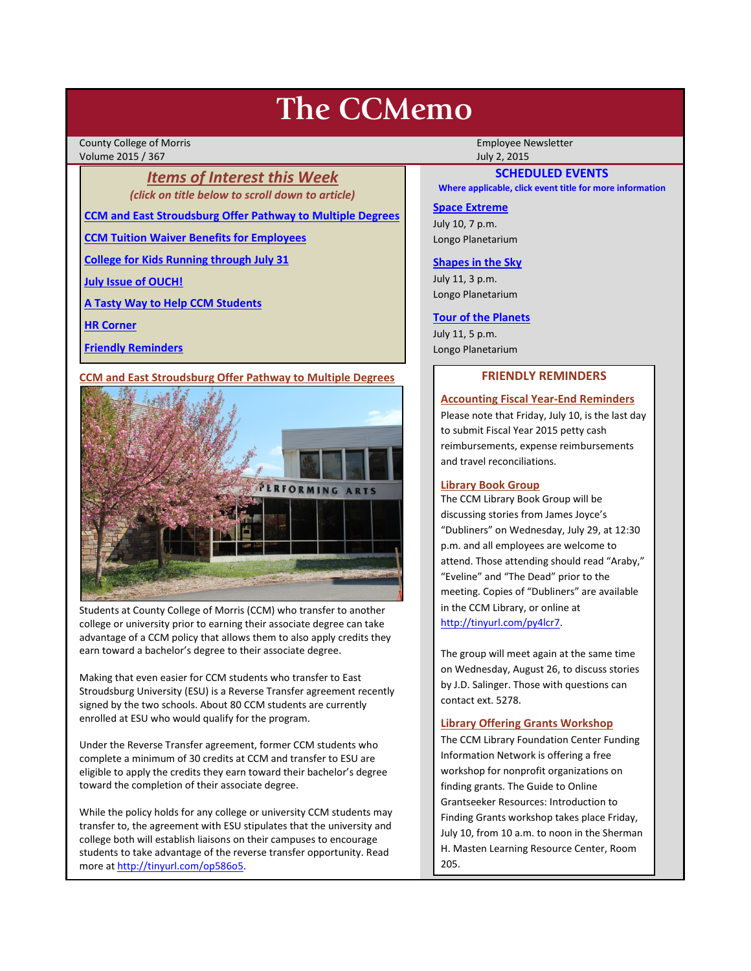# **The CCMemo**

County College of Morris **Employee Newsletter** Employee Newsletter Employee Newsletter Volume 2015 / 367 July 2, 2015

> *Items of Interest this Week (click on title below to scroll down to article)*

**[CCM and East Stroudsburg Offer Pathway to Multiple Degrees](#page-0-0)**

**[CCM Tuition Waiver Benefits for Employees](#page-1-0)**

**[College for Kids Running through July 31](#page-1-1)**

**[July Issue of OUCH!](#page-1-2)**

**[A Tasty Way to Help CCM Students](#page-1-3)**

**[HR Corner](#page-1-4)**

**[Friendly Reminders](#page-0-1)**

# <span id="page-0-0"></span>**CCM and East Stroudsburg Offer Pathway to Multiple Degrees**



Students at County College of Morris (CCM) who transfer to another college or university prior to earning their associate degree can take advantage of a CCM policy that allows them to also apply credits they earn toward a bachelor's degree to their associate degree.

Making that even easier for CCM students who transfer to East Stroudsburg University (ESU) is a Reverse Transfer agreement recently signed by the two schools. About 80 CCM students are currently enrolled at ESU who would qualify for the program.

Under the Reverse Transfer agreement, former CCM students who complete a minimum of 30 credits at CCM and transfer to ESU are eligible to apply the credits they earn toward their bachelor's degree toward the completion of their associate degree.

While the policy holds for any college or university CCM students may transfer to, the agreement with ESU stipulates that the university and college both will establish liaisons on their campuses to encourage students to take advantage of the reverse transfer opportunity. Read more a[t http://tinyurl.com/op586o5.](http://tinyurl.com/op586o5) 

# **SCHEDULED EVENTS**

**Where applicable, click event title for more information**

#### **[Space Extreme](http://www.ccm.edu/newsEvents/eventDetails.aspx?Channel=/Channels/Sitewide&WorkflowItemID=1874a4b0-0bcb-4ed1-a29e-7b4f8d25e45d)**

July 10, 7 p.m. Longo Planetarium

# **[Shapes in the Sky](http://www.ccm.edu/newsEvents/eventDetails.aspx?Channel=/Channels/Sitewide&WorkflowItemID=1922c928-86d3-4e75-b6a2-fd618033989c)**

July 11, 3 p.m. Longo Planetarium

#### **[Tour of the Planets](http://www.ccm.edu/newsEvents/eventDetails.aspx?Channel=/Channels/Sitewide&WorkflowItemID=5834aa20-68ba-4fa2-a3ac-75b2311ba441)**

July 11, 5 p.m. Longo Planetarium

### **FRIENDLY REMINDERS**

# <span id="page-0-1"></span>**Accounting Fiscal Year-End Reminders**

Please note that Friday, July 10, is the last day to submit Fiscal Year 2015 petty cash reimbursements, expense reimbursements and travel reconciliations.

## **Library Book Group**

The CCM Library Book Group will be discussing stories from James Joyce's "Dubliners" on Wednesday, July 29, at 12:30 p.m. and all employees are welcome to attend. Those attending should read "Araby," "Eveline" and "The Dead" prior to the meeting. Copies of "Dubliners" are available in the CCM Library, or online at [http://tinyurl.com/py4lcr7.](http://tinyurl.com/py4lcr7)

The group will meet again at the same time on Wednesday, August 26, to discuss stories by J.D. Salinger. Those with questions can contact ext. 5278.

#### **Library Offering Grants Workshop**

The CCM Library Foundation Center Funding Information Network is offering a free workshop for nonprofit organizations on finding grants. The Guide to Online Grantseeker Resources: Introduction to Finding Grants workshop takes place Friday, July 10, from 10 a.m. to noon in the Sherman H. Masten Learning Resource Center, Room 205.